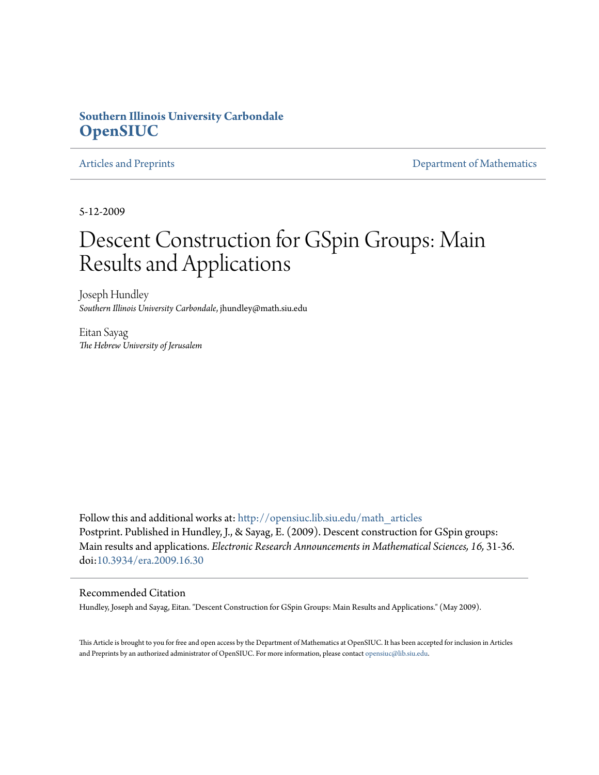## **Southern Illinois University Carbondale [OpenSIUC](http://opensiuc.lib.siu.edu?utm_source=opensiuc.lib.siu.edu%2Fmath_articles%2F106&utm_medium=PDF&utm_campaign=PDFCoverPages)**

[Articles and Preprints](http://opensiuc.lib.siu.edu/math_articles?utm_source=opensiuc.lib.siu.edu%2Fmath_articles%2F106&utm_medium=PDF&utm_campaign=PDFCoverPages) **[Department of Mathematics](http://opensiuc.lib.siu.edu/math?utm_source=opensiuc.lib.siu.edu%2Fmath_articles%2F106&utm_medium=PDF&utm_campaign=PDFCoverPages)** Department of Mathematics

5-12-2009

# Descent Construction for GSpin Groups: Main Results and Applications

Joseph Hundley *Southern Illinois University Carbondale*, jhundley@math.siu.edu

Eitan Sayag *The Hebrew University of Jerusalem*

Follow this and additional works at: [http://opensiuc.lib.siu.edu/math\\_articles](http://opensiuc.lib.siu.edu/math_articles?utm_source=opensiuc.lib.siu.edu%2Fmath_articles%2F106&utm_medium=PDF&utm_campaign=PDFCoverPages) Postprint. Published in Hundley, J., & Sayag, E. (2009). Descent construction for GSpin groups: Main results and applications. *Electronic Research Announcements in Mathematical Sciences, 16,* 31-36. doi[:10.3934/era.2009.16.30](http://dx.doi.org/10.3934/era.2009.16.30)

#### Recommended Citation

Hundley, Joseph and Sayag, Eitan. "Descent Construction for GSpin Groups: Main Results and Applications." (May 2009).

This Article is brought to you for free and open access by the Department of Mathematics at OpenSIUC. It has been accepted for inclusion in Articles and Preprints by an authorized administrator of OpenSIUC. For more information, please contact [opensiuc@lib.siu.edu](mailto:opensiuc@lib.siu.edu).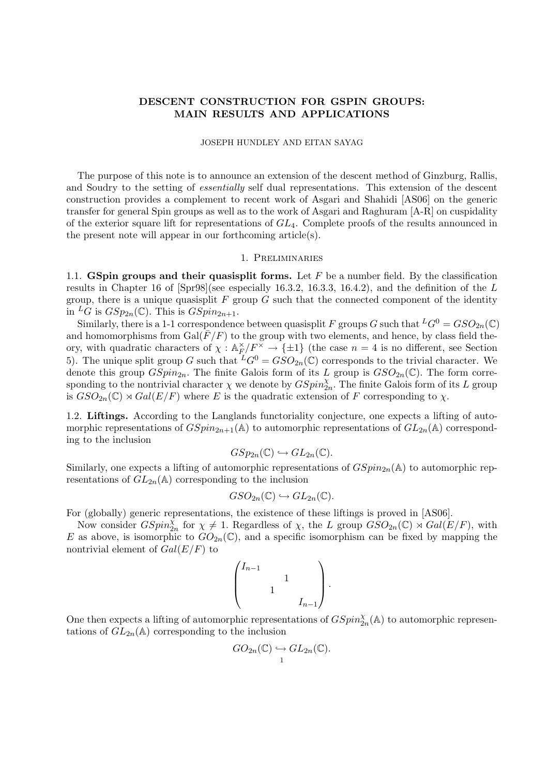### DESCENT CONSTRUCTION FOR GSPIN GROUPS: MAIN RESULTS AND APPLICATIONS

#### JOSEPH HUNDLEY AND EITAN SAYAG

The purpose of this note is to announce an extension of the descent method of Ginzburg, Rallis, and Soudry to the setting of essentially self dual representations. This extension of the descent construction provides a complement to recent work of Asgari and Shahidi [AS06] on the generic transfer for general Spin groups as well as to the work of Asgari and Raghuram [A-R] on cuspidality of the exterior square lift for representations of  $GL_4$ . Complete proofs of the results announced in the present note will appear in our forthcoming article(s).

#### 1. Preliminaries

1.1. GSpin groups and their quasisplit forms. Let  $F$  be a number field. By the classification results in Chapter 16 of [Spr98](see especially 16.3.2, 16.3.3, 16.4.2), and the definition of the L group, there is a unique quasisplit  $F$  group  $G$  such that the connected component of the identity in <sup>L</sup>G is  $GSp_{2n}(\mathbb{C})$ . This is  $GSpin_{2n+1}$ .

Similarly, there is a 1-1 correspondence between quasisplit F groups G such that  ${}^L G^0 = GSO_{2n}(\mathbb{C})$ and homomorphisms from  $Gal(F/F)$  to the group with two elements, and hence, by class field theory, with quadratic characters of  $\chi : \mathbb{A}_F^{\times}$  $E/F^{\times} \to {\pm 1}$  (the case  $n = 4$  is no different, see Section 5). The unique split group G such that  ${}^L G^0 = GSO_{2n}(\mathbb{C})$  corresponds to the trivial character. We denote this group  $GSpin_{2n}$ . The finite Galois form of its L group is  $GSO_{2n}(\mathbb{C})$ . The form corresponding to the nontrivial character  $\chi$  we denote by  $GSpin_{2n}^{\chi}$ . The finite Galois form of its L group is  $GSO_{2n}(\mathbb{C}) \rtimes Gal(E/F)$  where E is the quadratic extension of F corresponding to  $\chi$ .

1.2. Liftings. According to the Langlands functoriality conjecture, one expects a lifting of automorphic representations of  $GSpin_{2n+1}(\mathbb{A})$  to automorphic representations of  $GL_{2n}(\mathbb{A})$  corresponding to the inclusion

$$
GSp_{2n}(\mathbb{C}) \hookrightarrow GL_{2n}(\mathbb{C}).
$$

Similarly, one expects a lifting of automorphic representations of  $GSpin_{2n}(\mathbb{A})$  to automorphic representations of  $GL_{2n}(\mathbb{A})$  corresponding to the inclusion

$$
GSO_{2n}(\mathbb{C})\hookrightarrow GL_{2n}(\mathbb{C}).
$$

For (globally) generic representations, the existence of these liftings is proved in [AS06].

Now consider  $GSpin_{2n}^{\tilde{\chi}}$  for  $\chi \neq 1$ . Regardless of  $\chi$ , the L group  $\tilde{G}SO_{2n}(\mathbb{C}) \rtimes Gal(E/F)$ , with E as above, is isomorphic to  $GO_{2n}(\mathbb{C})$ , and a specific isomorphism can be fixed by mapping the nontrivial element of  $Gal(E/F)$  to

$$
\begin{pmatrix} I_{n-1} & & & \\ & 1 & & \\ & & 1 & \\ & & & I_{n-1} \end{pmatrix}.
$$

One then expects a lifting of automorphic representations of  $GSpin_{2n}^{\chi}(\mathbb{A})$  to automorphic representations of  $GL_{2n}(\mathbb{A})$  corresponding to the inclusion

$$
GO_{2n}(\mathbb{C})\hookrightarrow GL_{2n}(\mathbb{C}).
$$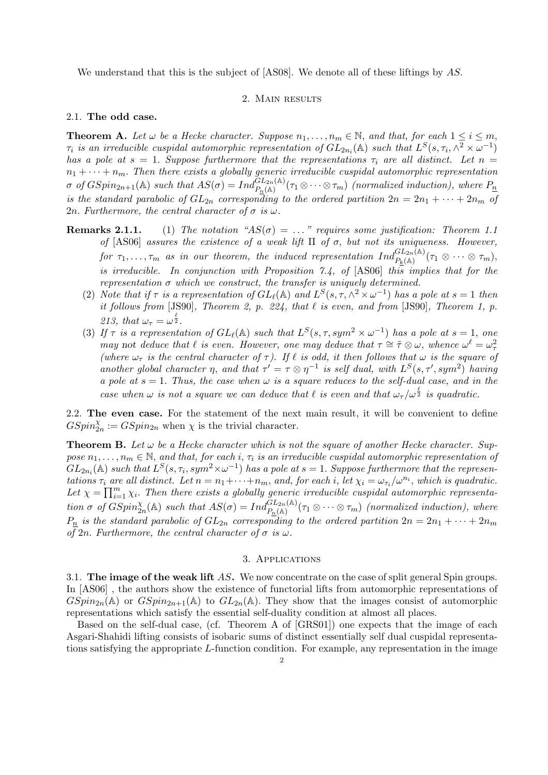We understand that this is the subject of [AS08]. We denote all of these liftings by AS.

#### 2. MAIN RESULTS

#### 2.1. The odd case.

**Theorem A.** Let  $\omega$  be a Hecke character. Suppose  $n_1, \ldots, n_m \in \mathbb{N}$ , and that, for each  $1 \leq i \leq m$ ,  $\tau_i$  is an irreducible cuspidal automorphic representation of  $GL_{2n_i}(\mathbb{A})$  such that  $L^S(s,\tau_i,\wedge^2\times\omega^{-1})$ has a pole at  $s = 1$ . Suppose furthermore that the representations  $\tau_i$  are all distinct. Let  $n =$  $n_1 + \cdots + n_m$ . Then there exists a globally generic irreducible cuspidal automorphic representation  $\sigma$  of  $GSpin_{2n+1}(\mathbb{A})$  such that  $AS(\sigma) = Ind_{P_n(\mathbb{A})}^{GL_{2n}(\mathbb{A})}(\tau_1 \otimes \cdots \otimes \tau_m)$  (normalized induction), where  $P_n$ is the standard parabolic of  $GL_{2n}$  corresponding to the ordered partition  $2n = 2n_1 + \cdots + 2n_m$  of 2n. Furthermore, the central character of  $\sigma$  is  $\omega$ .

- **Remarks 2.1.1.** (1) The notation " $AS(\sigma) = \ldots$ " requires some justification: Theorem 1.1 of [AS06] assures the existence of a weak lift  $\Pi$  of  $\sigma$ , but not its uniqueness. However, for  $\tau_1,\ldots,\tau_m$  as in our theorem, the induced representation  $Ind_{P_k({\mathbb A})}^{GL_{2n}({\mathbb A})}(\tau_1\otimes\cdots\otimes\tau_m),$ is irreducible. In conjunction with Proposition 7.4, of  $[AS06]$  this implies that for the representation  $\sigma$  which we construct, the transfer is uniquely determined.
	- (2) Note that if  $\tau$  is a representation of  $GL_\ell(\mathbb{A})$  and  $L^S(s,\tau,\wedge^2\times\omega^{-1})$  has a pole at  $s=1$  then it follows from [JS90], Theorem 2, p. 224, that  $\ell$  is even, and from [JS90], Theorem 1, p. 213, that  $\omega_{\tau} = \omega^{\frac{\ell}{2}}$ .
	- (3) If  $\tau$  is a representation of  $GL_{\ell}(\mathbb{A})$  such that  $L^{S}(s,\tau,sym^{2} \times \omega^{-1})$  has a pole at  $s=1$ , one may not deduce that  $\ell$  is even. However, one may deduce that  $\tau \cong \tilde{\tau} \otimes \omega$ , whence  $\omega^{\ell} = \omega_{\tau}^2$ (where  $\omega_{\tau}$  is the central character of  $\tau$ ). If  $\ell$  is odd, it then follows that  $\omega$  is the square of another global character  $\eta$ , and that  $\tau' = \tau \otimes \eta^{-1}$  is self dual, with  $L^{S}(s, \tau', sym^2)$  having a pole at  $s = 1$ . Thus, the case when  $\omega$  is a square reduces to the self-dual case, and in the case when  $\omega$  is not a square we can deduce that  $\ell$  is even and that  $\omega_{\tau}/\omega^{\frac{\ell}{2}}$  is quadratic.

2.2. The even case. For the statement of the next main result, it will be convenient to define  $GSpin_{2n}^{\chi} := GSpin_{2n}$  when  $\chi$  is the trivial character.

**Theorem B.** Let  $\omega$  be a Hecke character which is not the square of another Hecke character. Suppose  $n_1, \ldots, n_m \in \mathbb{N}$ , and that, for each i,  $\tau_i$  is an irreducible cuspidal automorphic representation of  $GL_{2n_i}(\mathbb{A})$  such that  $L^S(s,\tau_i,sym^2\times\omega^{-1})$  has a pole at  $s=1.$  Suppose furthermore that the representations  $\tau_i$  are all distinct. Let  $n = n_1 + \cdots + n_m$ , and, for each i, let  $\chi_i = \omega_{\tau_i}/\omega^{n_i}$ , which is quadratic. *Let*  $\chi = \prod_{i=1}^{m}$  $_{i=1}^{m}\chi_{i}$ . Then there exists a globally generic irreducible cuspidal automorphic representation  $\sigma$  of  $GSpin_{2n}^{\chi}(\mathbb{A})$  such that  $AS(\sigma) = Ind_{P_n(\mathbb{A})}^{GL_{2n}(\mathbb{A})}(\tau_1 \otimes \cdots \otimes \tau_m)$  (normalized induction), where  $P_n$  is the standard parabolic of  $GL_{2n}$  corresponding to the ordered partition  $2n = 2n_1 + \cdots + 2n_m$ of 2n. Furthermore, the central character of  $\sigma$  is  $\omega$ .

#### 3. Applications

3.1. The image of the weak lift AS. We now concentrate on the case of split general Spin groups. In [AS06] , the authors show the existence of functorial lifts from automorphic representations of  $GSpin_{2n}(\mathbb{A})$  or  $GSpin_{2n+1}(\mathbb{A})$  to  $GL_{2n}(\mathbb{A})$ . They show that the images consist of automorphic representations which satisfy the essential self-duality condition at almost all places.

Based on the self-dual case, (cf. Theorem A of [GRS01]) one expects that the image of each Asgari-Shahidi lifting consists of isobaric sums of distinct essentially self dual cuspidal representations satisfying the appropriate L-function condition. For example, any representation in the image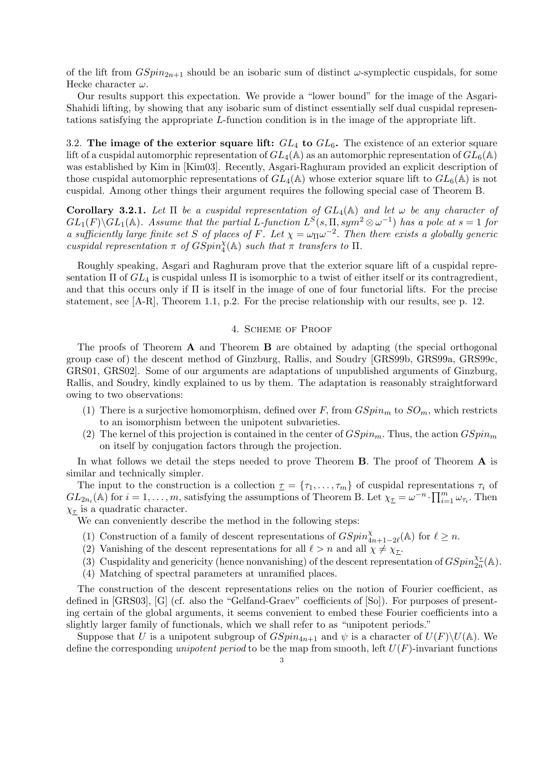of the lift from  $GSpin_{2n+1}$  should be an isobaric sum of distinct  $\omega$ -symplectic cuspidals, for some Hecke character  $\omega$ .

Our results support this expectation. We provide a "lower bound" for the image of the Asgari-Shahidi lifting, by showing that any isobaric sum of distinct essentially self dual cuspidal representations satisfying the appropriate L-function condition is in the image of the appropriate lift.

3.2. The image of the exterior square lift:  $GL_4$  to  $GL_6$ . The existence of an exterior square lift of a cuspidal automorphic representation of  $GL_4(\mathbb{A})$  as an automorphic representation of  $GL_6(\mathbb{A})$ was established by Kim in [Kim03]. Recently, Asgari-Raghuram provided an explicit description of those cuspidal automorphic representations of  $GL_4(\mathbb{A})$  whose exterior square lift to  $GL_6(\mathbb{A})$  is not cuspidal. Among other things their argument requires the following special case of Theorem B.

Corollary 3.2.1. Let  $\Pi$  be a cuspidal representation of  $GL_4(\mathbb{A})$  and let  $\omega$  be any character of  $GL_1(F)\backslash GL_1(\mathbb{A})$ . Assume that the partial L-function  $L^S(s,\Pi,sym^2\otimes\omega^{-1})$  has a pole at  $s=1$  for a sufficiently large finite set S of places of F. Let  $\chi = \omega_{\Pi} \omega^{-2}$ . Then there exists a globally generic cuspidal representation  $\pi$  of  $GSpin_{4}^{\chi}(\mathbb{A})$  such that  $\pi$  transfers to  $\Pi$ .

Roughly speaking, Asgari and Raghuram prove that the exterior square lift of a cuspidal representation  $\Pi$  of  $GL_4$  is cuspidal unless  $\Pi$  is isomorphic to a twist of either itself or its contragredient, and that this occurs only if  $\Pi$  is itself in the image of one of four functorial lifts. For the precise statement, see [A-R], Theorem 1.1, p.2. For the precise relationship with our results, see p. 12.

#### 4. Scheme of Proof

The proofs of Theorem  $A$  and Theorem  $B$  are obtained by adapting (the special orthogonal group case of) the descent method of Ginzburg, Rallis, and Soudry [GRS99b, GRS99a, GRS99c, GRS01, GRS02]. Some of our arguments are adaptations of unpublished arguments of Ginzburg, Rallis, and Soudry, kindly explained to us by them. The adaptation is reasonably straightforward owing to two observations:

- (1) There is a surjective homomorphism, defined over F, from  $GSpin_m$  to  $SO_m$ , which restricts to an isomorphism between the unipotent subvarieties.
- (2) The kernel of this projection is contained in the center of  $GSpin_m$ . Thus, the action  $GSpin_m$ on itself by conjugation factors through the projection.

In what follows we detail the steps needed to prove Theorem  $B$ . The proof of Theorem  $A$  is similar and technically simpler.

The input to the construction is a collection  $\underline{\tau} = {\tau_1, \ldots, \tau_m}$  of cuspidal representations  $\tau_i$  of The input to the construction is a conection  $\underline{\tau} = {\tau_1, \ldots, \tau_m}$  or cuspidal represent  $GL_{2n_i}(\mathbb{A})$  for  $i = 1, \ldots, m$ , satisfying the assumptions of Theorem B. Let  $\chi_{\underline{\tau}} = \omega^{-n} \cdot \prod_{i=1}^m$  $\frac{m}{i=1}\omega_{\tau_i}$ . Then  $\chi_{\underline{\tau}}$  is a quadratic character.

We can conveniently describe the method in the following steps:

- (1) Construction of a family of descent representations of  $GSpin^{\chi}_{4n+1-2\ell}(\mathbb{A})$  for  $\ell \geq n$ .
- (2) Vanishing of the descent representations for all  $\ell > n$  and all  $\chi \neq \chi_{\tau}$ .
- (3) Cuspidality and genericity (hence nonvanishing) of the descent representation of  $GSpin_{2n}^{\chi_{\mathcal{I}}}(\mathbb{A})$ .
- (4) Matching of spectral parameters at unramified places.

The construction of the descent representations relies on the notion of Fourier coefficient, as defined in [GRS03], [G] (cf. also the "Gelfand-Graev" coefficients of [So]). For purposes of presenting certain of the global arguments, it seems convenient to embed these Fourier coefficients into a slightly larger family of functionals, which we shall refer to as "unipotent periods."

Suppose that U is a unipotent subgroup of  $GSpin_{4n+1}$  and  $\psi$  is a character of  $U(F)\setminus U(A)$ . We define the corresponding unipotent period to be the map from smooth, left  $U(F)$ -invariant functions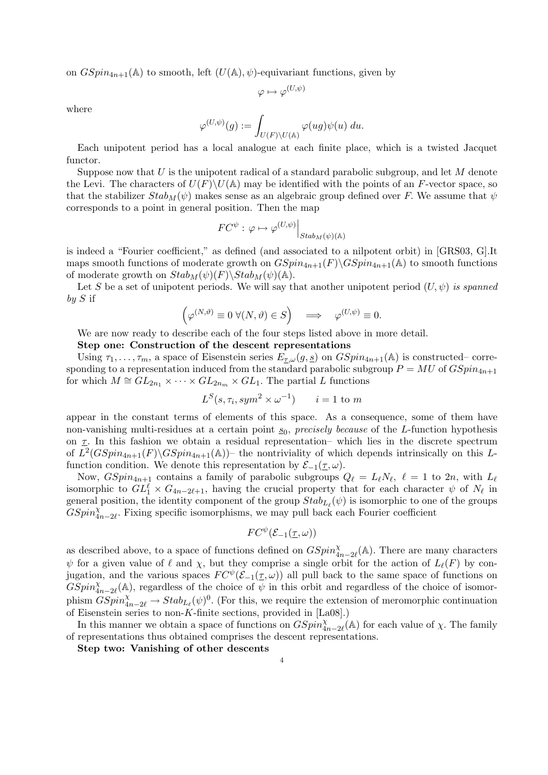on  $GSpin_{4n+1}(\mathbb{A})$  to smooth, left  $(U(\mathbb{A}), \psi)$ -equivariant functions, given by

$$
\varphi \mapsto \varphi^{(U,\psi)}
$$

where

$$
\varphi^{(U,\psi)}(g):=\int_{U(F)\backslash U(\mathbb{A})}\varphi(ug)\psi(u)\;du.
$$

Each unipotent period has a local analogue at each finite place, which is a twisted Jacquet functor.

Suppose now that  $U$  is the unipotent radical of a standard parabolic subgroup, and let  $M$  denote the Levi. The characters of  $U(F)\backslash U(\mathbb{A})$  may be identified with the points of an F-vector space, so that the stabilizer  $Stab_M(\psi)$  makes sense as an algebraic group defined over F. We assume that  $\psi$ corresponds to a point in general position. Then the map

$$
FC^{\psi} : \varphi \mapsto \varphi^{(U,\psi)}\Big|_{Stab_M(\psi)(\mathbb{A})}
$$

is indeed a "Fourier coefficient," as defined (and associated to a nilpotent orbit) in [GRS03, G].It maps smooth functions of moderate growth on  $GSpin_{4n+1}(F)\GSpin_{4n+1}(\mathbb{A})$  to smooth functions of moderate growth on  $Stab_M(\psi)(F)\&Stab_M(\psi)(A)$ .

Let S be a set of unipotent periods. We will say that another unipotent period  $(U, \psi)$  is spanned  $b\mathbf{u} S$  if  $\overline{a}$ ´

$$
\left(\varphi^{(N,\vartheta)}\equiv 0\;\forall (N,\vartheta)\in S\right)\;\;\implies\;\;\varphi^{(U,\psi)}\equiv 0.
$$

We are now ready to describe each of the four steps listed above in more detail.

#### Step one: Construction of the descent representations

Using  $\tau_1, \ldots, \tau_m$ , a space of Eisenstein series  $E_{\tau,\omega}(g, \underline{s})$  on  $GSpin_{4n+1}(\mathbb{A})$  is constructed– corresponding to a representation induced from the standard parabolic subgroup  $P = MU$  of  $GSpin_{4n+1}$ for which  $M \cong GL_{2n_1} \times \cdots \times GL_{2n_m} \times GL_1$ . The partial L functions

$$
L^S(s, \tau_i, sym^2 \times \omega^{-1}) \qquad i = 1 \text{ to } m
$$

appear in the constant terms of elements of this space. As a consequence, some of them have non-vanishing multi-residues at a certain point  $\underline{s}_0$ , precisely because of the L-function hypothesis on  $\tau$ . In this fashion we obtain a residual representation– which lies in the discrete spectrum of  $L^2(GSpin_{4n+1}(F)\backslash GSpin_{4n+1}(\mathbb{A}))$  the nontriviality of which depends intrinsically on this Lfunction condition. We denote this representation by  $\mathcal{E}_{-1}(\underline{\tau}, \omega)$ .

Now,  $GSpin_{4n+1}$  contains a family of parabolic subgroups  $Q_\ell = L_\ell N_\ell$ ,  $\ell = 1$  to  $2n$ , with  $L_\ell$ isomorphic to  $GL_1^{\ell} \times G_{4n-2\ell+1}$ , having the crucial property that for each character  $\psi$  of  $N_{\ell}$  in general position, the identity component of the group  $Stab_{L_\ell}(\psi)$  is isomorphic to one of the groups  $GSpin^{\chi}_{4n-2\ell}$ . Fixing specific isomorphisms, we may pull back each Fourier coefficient

$$
FC^{\psi}(\mathcal{E}_{-1}(\underline{\tau},\omega))
$$

as described above, to a space of functions defined on  $GSpin^{\chi}_{4n-2\ell}(\mathbb{A})$ . There are many characters  $\psi$  for a given value of  $\ell$  and  $\chi$ , but they comprise a single orbit for the action of  $L_{\ell}(F)$  by conjugation, and the various spaces  $FC^{\psi}(\mathcal{E}_{-1}(\tau,\omega))$  all pull back to the same space of functions on  $GSpin_{4n-2\ell}^{\chi}(\mathbb{A})$ , regardless of the choice of  $\psi$  in this orbit and regardless of the choice of isomorphism  $\widetilde{GSpin}^{\chi}_{4n-2\ell} \to Stab_{L_{\ell}}(\psi)^0$ . (For this, we require the extension of meromorphic continuation of Eisenstein series to non-K-finite sections, provided in [La08].)

In this manner we obtain a space of functions on  $GSpin^{\chi}_{4n-2\ell}(\mathbb{A})$  for each value of  $\chi$ . The family of representations thus obtained comprises the descent representations.

Step two: Vanishing of other descents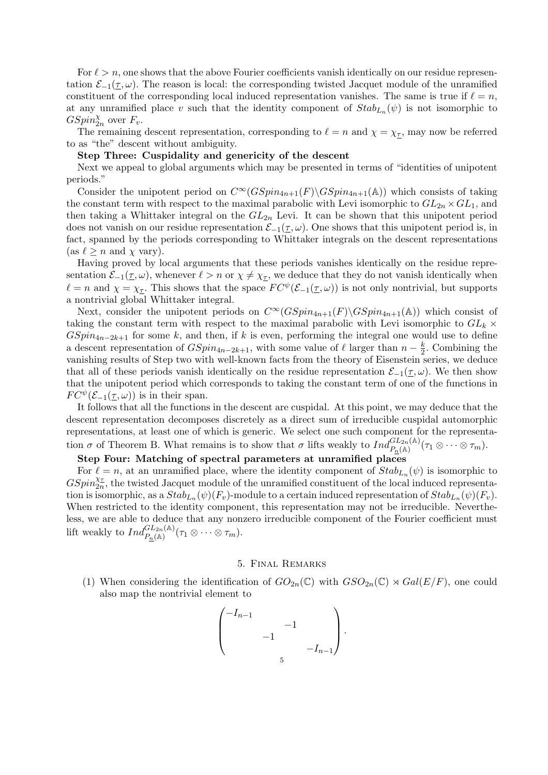For  $\ell > n$ , one shows that the above Fourier coefficients vanish identically on our residue representation  $\mathcal{E}_{-1}(\tau,\omega)$ . The reason is local: the corresponding twisted Jacquet module of the unramified constituent of the corresponding local induced representation vanishes. The same is true if  $\ell = n$ , at any unramified place v such that the identity component of  $Stab_{L_n}(\psi)$  is not isomorphic to  $GSpin_{2n}^{\chi}$  over  $F_v$ .

The remaining descent representation, corresponding to  $\ell = n$  and  $\chi = \chi_{\tau}$ , may now be referred to as "the" descent without ambiguity.

#### Step Three: Cuspidality and genericity of the descent

Next we appeal to global arguments which may be presented in terms of "identities of unipotent periods."

Consider the unipotent period on  $C^{\infty}(GSpin_{4n+1}(F)\backslash GSpin_{4n+1}(\mathbb{A}))$  which consists of taking the constant term with respect to the maximal parabolic with Levi isomorphic to  $GL_{2n} \times GL_1$ , and then taking a Whittaker integral on the  $GL_{2n}$  Levi. It can be shown that this unipotent period does not vanish on our residue representation  $\mathcal{E}_{-1}(\tau,\omega)$ . One shows that this unipotent period is, in fact, spanned by the periods corresponding to Whittaker integrals on the descent representations (as  $\ell \geq n$  and  $\chi$  vary).

Having proved by local arguments that these periods vanishes identically on the residue representation  $\mathcal{E}_{-1}(\tau, \omega)$ , whenever  $\ell > n$  or  $\chi \neq \chi_{\tau}$ , we deduce that they do not vanish identically when  $\ell = n$  and  $\chi = \chi_{\tau}$ . This shows that the space  $FC^{\psi}(\mathcal{E}_{-1}(\tau,\omega))$  is not only nontrivial, but supports a nontrivial global Whittaker integral.

Next, consider the unipotent periods on  $C^{\infty}(GSpin_{4n+1}(F)\backslash GSpin_{4n+1}(\mathbb{A}))$  which consist of taking the constant term with respect to the maximal parabolic with Levi isomorphic to  $GL_k$  ×  $GSpin_{4n-2k+1}$  for some k, and then, if k is even, performing the integral one would use to define a descent representation of  $GSpin_{4n-2k+1}$ , with some value of  $\ell$  larger than  $n - \frac{k}{2}$  $\frac{k}{2}$ . Combining the vanishing results of Step two with well-known facts from the theory of Eisenstein series, we deduce that all of these periods vanish identically on the residue representation  $\mathcal{E}_{-1}(\tau,\omega)$ . We then show that the unipotent period which corresponds to taking the constant term of one of the functions in  $FC^{\psi}(\mathcal{E}_{-1}(\tau,\omega))$  is in their span.

It follows that all the functions in the descent are cuspidal. At this point, we may deduce that the descent representation decomposes discretely as a direct sum of irreducible cuspidal automorphic representations, at least one of which is generic. We select one such component for the representation  $\sigma$  of Theorem B. What remains is to show that  $\sigma$  lifts weakly to  $Ind_{P_n(\mathbb{A})}^{GL_{2n}(\mathbb{A})}(\tau_1 \otimes \cdots \otimes \tau_m)$ .

#### Step Four: Matching of spectral parameters at unramified places

For  $\ell = n$ , at an unramified place, where the identity component of  $Stab_{L_n}(\psi)$  is isomorphic to  $GSpin_{2n}^{\chi_{\tau}}$ , the twisted Jacquet module of the unramified constituent of the local induced representation is isomorphic, as a  $Stab_{L_n}(\psi)(F_v)$ -module to a certain induced representation of  $Stab_{L_n}(\psi)(F_v)$ . When restricted to the identity component, this representation may not be irreducible. Nevertheless, we are able to deduce that any nonzero irreducible component of the Fourier coefficient must lift weakly to  $Ind_{P_n(\mathbb{A})}^{GL_{2n}(\mathbb{A})}(\tau_1 \otimes \cdots \otimes \tau_m)$ .

#### 5. Final Remarks

(1) When considering the identification of  $GO_{2n}(\mathbb{C})$  with  $GSO_{2n}(\mathbb{C}) \rtimes Gal(E/F)$ , one could also map the nontrivial element to

$$
\begin{pmatrix} -I_{n-1} & & & \\ & -1 & & \\ & & -1 & \\ & & & -I_{n-1} \end{pmatrix}.
$$